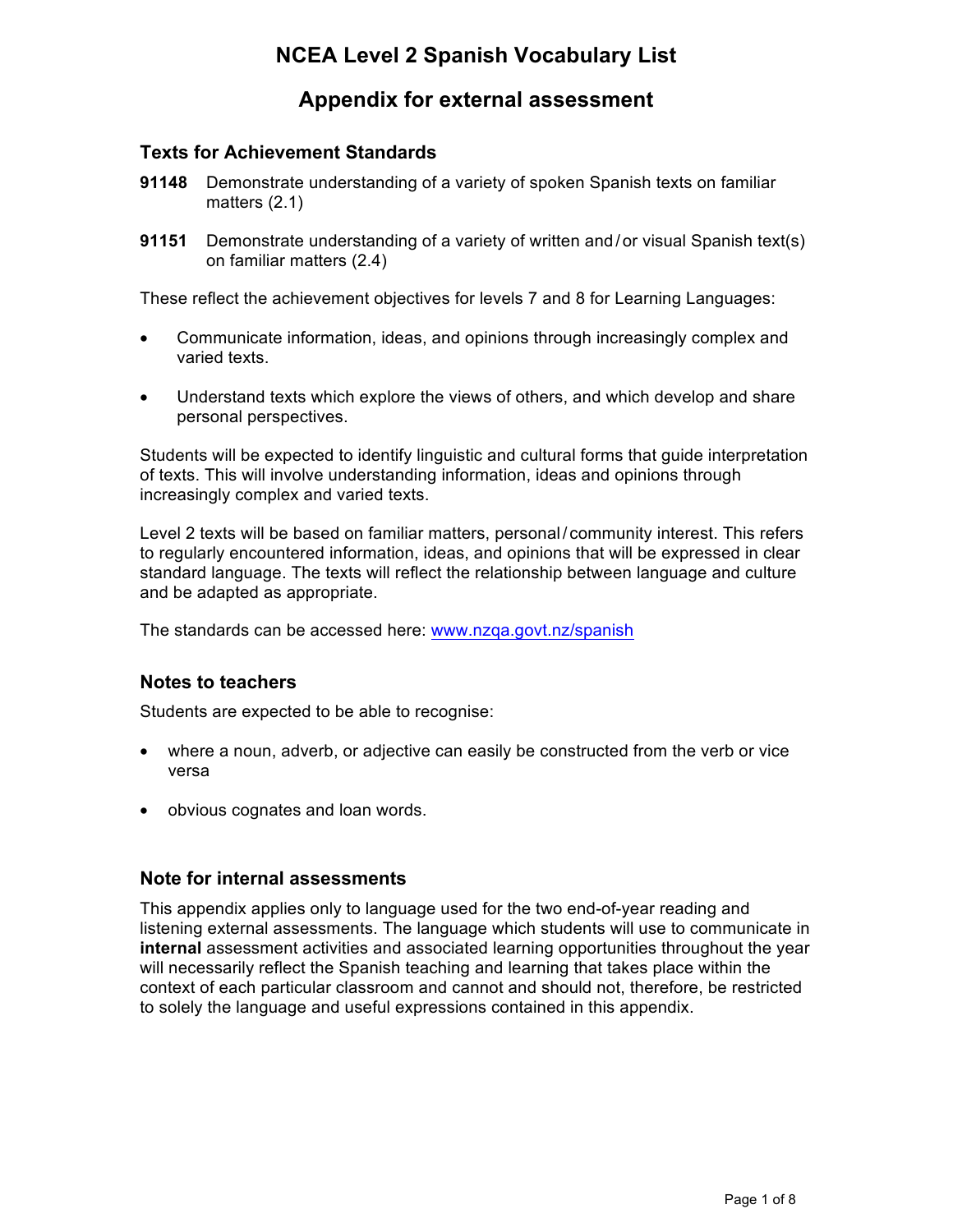# **NCEA Level 2 Spanish Vocabulary List**

## **Appendix for external assessment**

### **Texts for Achievement Standards**

- **91148** Demonstrate understanding of a variety of spoken Spanish texts on familiar matters (2.1)
- **91151** Demonstrate understanding of a variety of written and /or visual Spanish text(s) on familiar matters (2.4)

These reflect the achievement objectives for levels 7 and 8 for Learning Languages:

- Communicate information, ideas, and opinions through increasingly complex and varied texts.
- Understand texts which explore the views of others, and which develop and share personal perspectives.

Students will be expected to identify linguistic and cultural forms that guide interpretation of texts. This will involve understanding information, ideas and opinions through increasingly complex and varied texts.

Level 2 texts will be based on familiar matters, personal/ community interest. This refers to regularly encountered information, ideas, and opinions that will be expressed in clear standard language. The texts will reflect the relationship between language and culture and be adapted as appropriate.

The standards can be accessed here: www.nzqa.govt.nz/spanish

#### **Notes to teachers**

Students are expected to be able to recognise:

- where a noun, adverb, or adjective can easily be constructed from the verb or vice versa
- obvious cognates and loan words.

#### **Note for internal assessments**

This appendix applies only to language used for the two end-of-year reading and listening external assessments. The language which students will use to communicate in **internal** assessment activities and associated learning opportunities throughout the year will necessarily reflect the Spanish teaching and learning that takes place within the context of each particular classroom and cannot and should not, therefore, be restricted to solely the language and useful expressions contained in this appendix.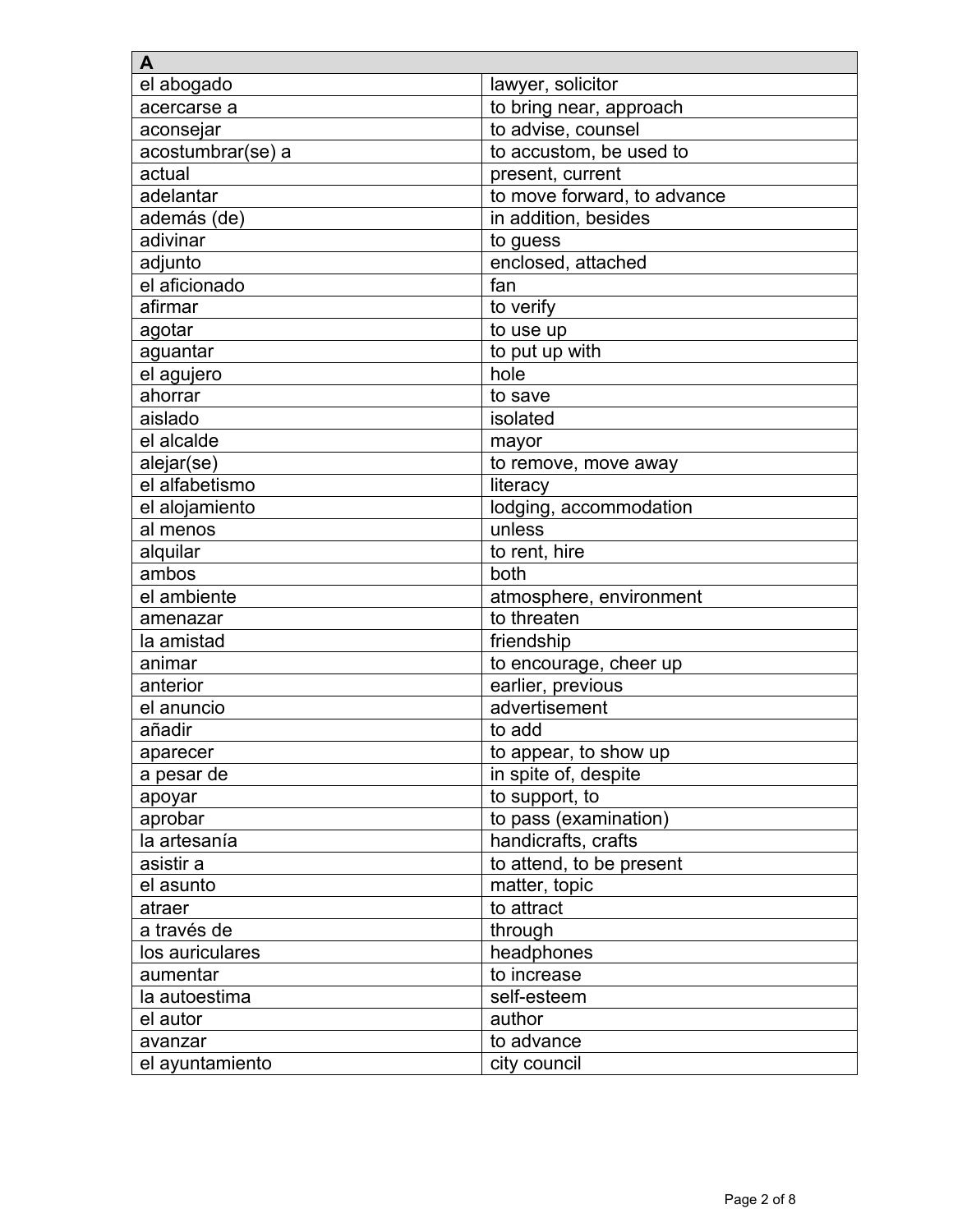| A                 |                             |
|-------------------|-----------------------------|
| el abogado        | lawyer, solicitor           |
| acercarse a       | to bring near, approach     |
| aconsejar         | to advise, counsel          |
| acostumbrar(se) a | to accustom, be used to     |
| actual            | present, current            |
| adelantar         | to move forward, to advance |
| además (de)       | in addition, besides        |
| adivinar          | to guess                    |
| adjunto           | enclosed, attached          |
| el aficionado     | fan                         |
| afirmar           | to verify                   |
| agotar            | to use up                   |
| aguantar          | to put up with              |
| el agujero        | hole                        |
| ahorrar           | to save                     |
| aislado           | isolated                    |
| el alcalde        | mayor                       |
| alejar(se)        | to remove, move away        |
| el alfabetismo    | literacy                    |
| el alojamiento    | lodging, accommodation      |
| al menos          | unless                      |
| alquilar          | to rent, hire               |
| ambos             | both                        |
| el ambiente       | atmosphere, environment     |
| amenazar          | to threaten                 |
| la amistad        | friendship                  |
| animar            | to encourage, cheer up      |
| anterior          | earlier, previous           |
| el anuncio        | advertisement               |
| añadir            | to add                      |
| aparecer          | to appear, to show up       |
| a pesar de        | in spite of, despite        |
| apoyar            | to support, to              |
| aprobar           | to pass (examination)       |
| la artesanía      | handicrafts, crafts         |
| asistir a         | to attend, to be present    |
| el asunto         | matter, topic               |
| atraer            | to attract                  |
| a través de       | through                     |
| los auriculares   | headphones                  |
| aumentar          | to increase                 |
| la autoestima     | self-esteem                 |
| el autor          | author                      |
| avanzar           | to advance                  |
| el ayuntamiento   | city council                |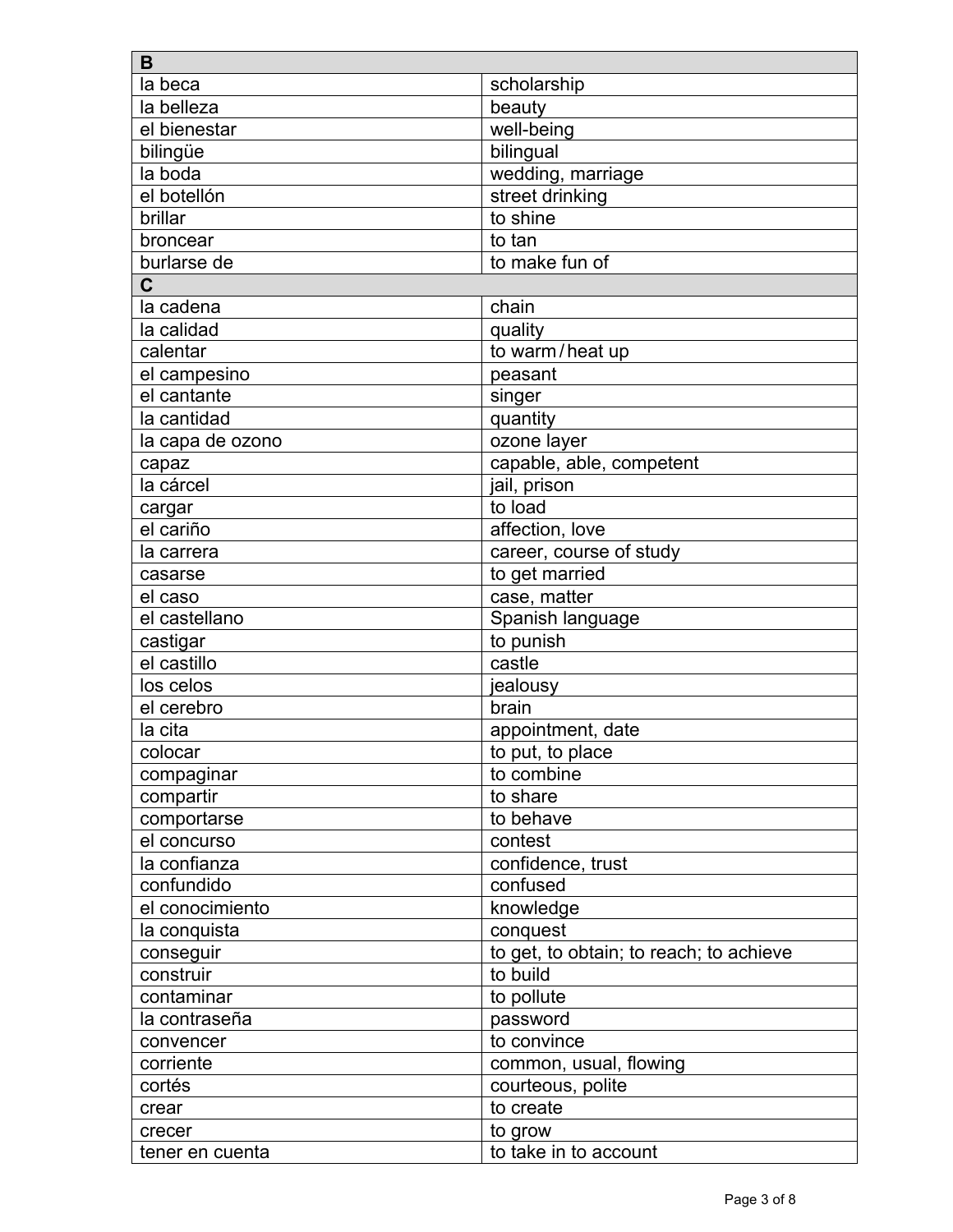| B                |                                         |
|------------------|-----------------------------------------|
| la beca          | scholarship                             |
| la belleza       | beauty                                  |
| el bienestar     | well-being                              |
| bilingüe         | bilingual                               |
| la boda          | wedding, marriage                       |
| el botellón      | street drinking                         |
| brillar          | to shine                                |
| broncear         | to tan                                  |
| burlarse de      | to make fun of                          |
| $\overline{C}$   |                                         |
| la cadena        | chain                                   |
| la calidad       | quality                                 |
| calentar         | to warm/heat up                         |
| el campesino     | peasant                                 |
| el cantante      | singer                                  |
| la cantidad      | quantity                                |
| la capa de ozono | ozone layer                             |
| capaz            | capable, able, competent                |
| la cárcel        | jail, prison                            |
| cargar           | to load                                 |
| el cariño        | affection, love                         |
| la carrera       | career, course of study                 |
| casarse          | to get married                          |
| el caso          | case, matter                            |
| el castellano    | Spanish language                        |
| castigar         | to punish                               |
| el castillo      | castle                                  |
| los celos        | jealousy                                |
| el cerebro       | brain                                   |
| la cita          | appointment, date                       |
| colocar          | to put, to place                        |
| compaginar       | to combine                              |
| compartir        | to share                                |
| comportarse      | to behave                               |
| el concurso      | contest                                 |
| la confianza     | confidence, trust                       |
| confundido       | confused                                |
| el conocimiento  | knowledge                               |
| la conquista     | conquest                                |
| conseguir        | to get, to obtain; to reach; to achieve |
| construir        | to build                                |
| contaminar       | to pollute                              |
| la contraseña    | password                                |
| convencer        | to convince                             |
| corriente        | common, usual, flowing                  |
| cortés           | courteous, polite                       |
| crear            | to create                               |
|                  |                                         |
| crecer           | to grow                                 |
| tener en cuenta  | to take in to account                   |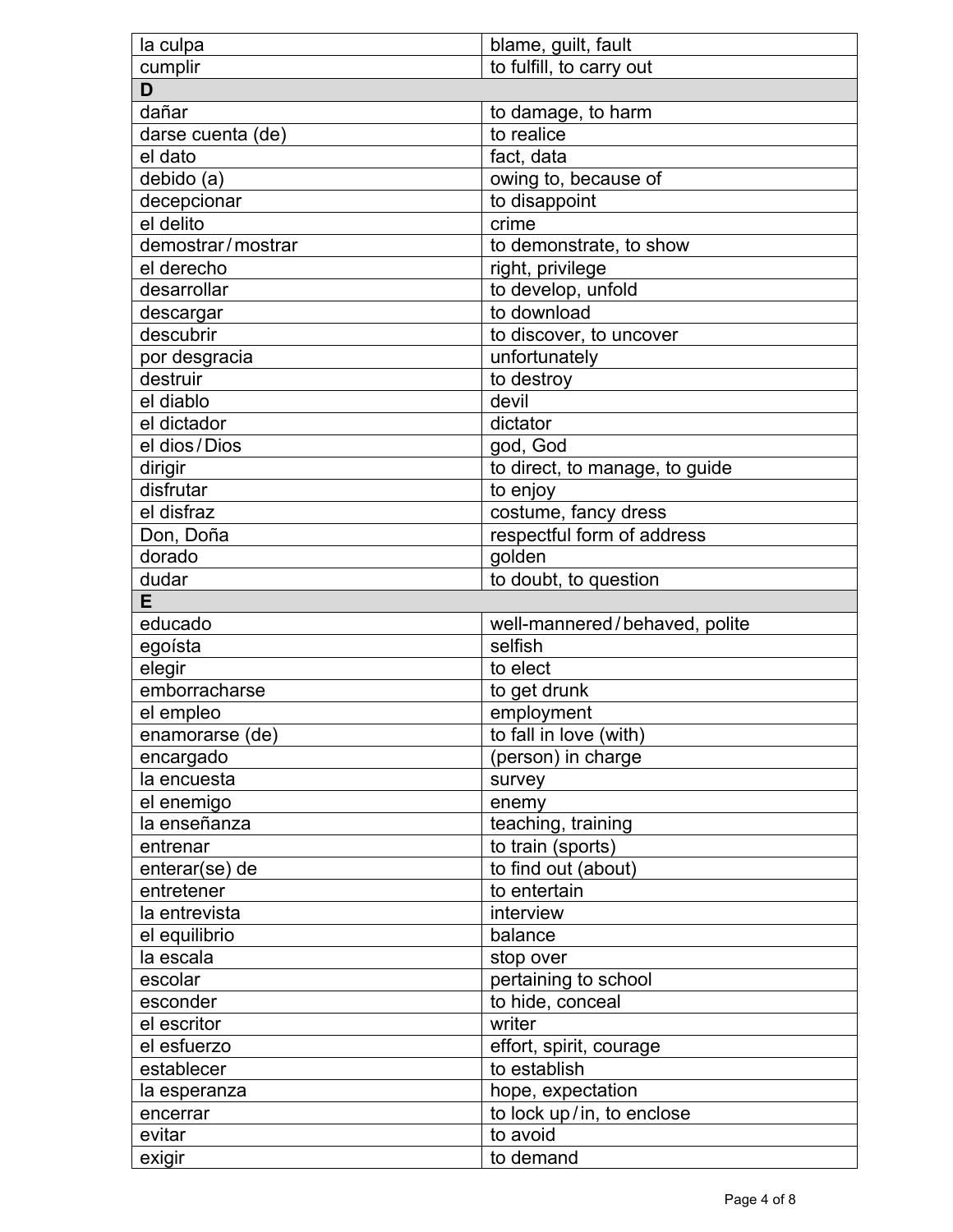| la culpa          | blame, guilt, fault            |
|-------------------|--------------------------------|
| cumplir           | to fulfill, to carry out       |
| D                 |                                |
| dañar             | to damage, to harm             |
| darse cuenta (de) | to realice                     |
| el dato           | fact, data                     |
| debido (a)        | owing to, because of           |
| decepcionar       | to disappoint                  |
| el delito         | crime                          |
| demostrar/mostrar | to demonstrate, to show        |
| el derecho        | right, privilege               |
| desarrollar       | to develop, unfold             |
| descargar         | to download                    |
| descubrir         | to discover, to uncover        |
| por desgracia     | unfortunately                  |
| destruir          | to destroy                     |
| el diablo         | devil                          |
| el dictador       | dictator                       |
| el dios/Dios      | god, God                       |
| dirigir           | to direct, to manage, to guide |
| disfrutar         | to enjoy                       |
| el disfraz        | costume, fancy dress           |
| Don, Doña         | respectful form of address     |
| dorado            |                                |
|                   | golden                         |
| dudar<br>Е        | to doubt, to question          |
|                   |                                |
|                   |                                |
| educado           | well-mannered/behaved, polite  |
| egoísta           | selfish                        |
| elegir            | to elect                       |
| emborracharse     | to get drunk                   |
| el empleo         | employment                     |
| enamorarse (de)   | to fall in love (with)         |
| encargado         | (person) in charge             |
| la encuesta       | survey                         |
| el enemigo        | enemy                          |
| la enseñanza      | teaching, training             |
| entrenar          | to train (sports)              |
| enterar(se) de    | to find out (about)            |
| entretener        | to entertain                   |
| la entrevista     | interview                      |
| el equilibrio     | balance                        |
| la escala         | stop over                      |
| escolar           | pertaining to school           |
| esconder          | to hide, conceal               |
| el escritor       | writer                         |
| el esfuerzo       | effort, spirit, courage        |
| establecer        | to establish                   |
| la esperanza      | hope, expectation              |
| encerrar          | to lock up/in, to enclose      |
| evitar<br>exigir  | to avoid<br>to demand          |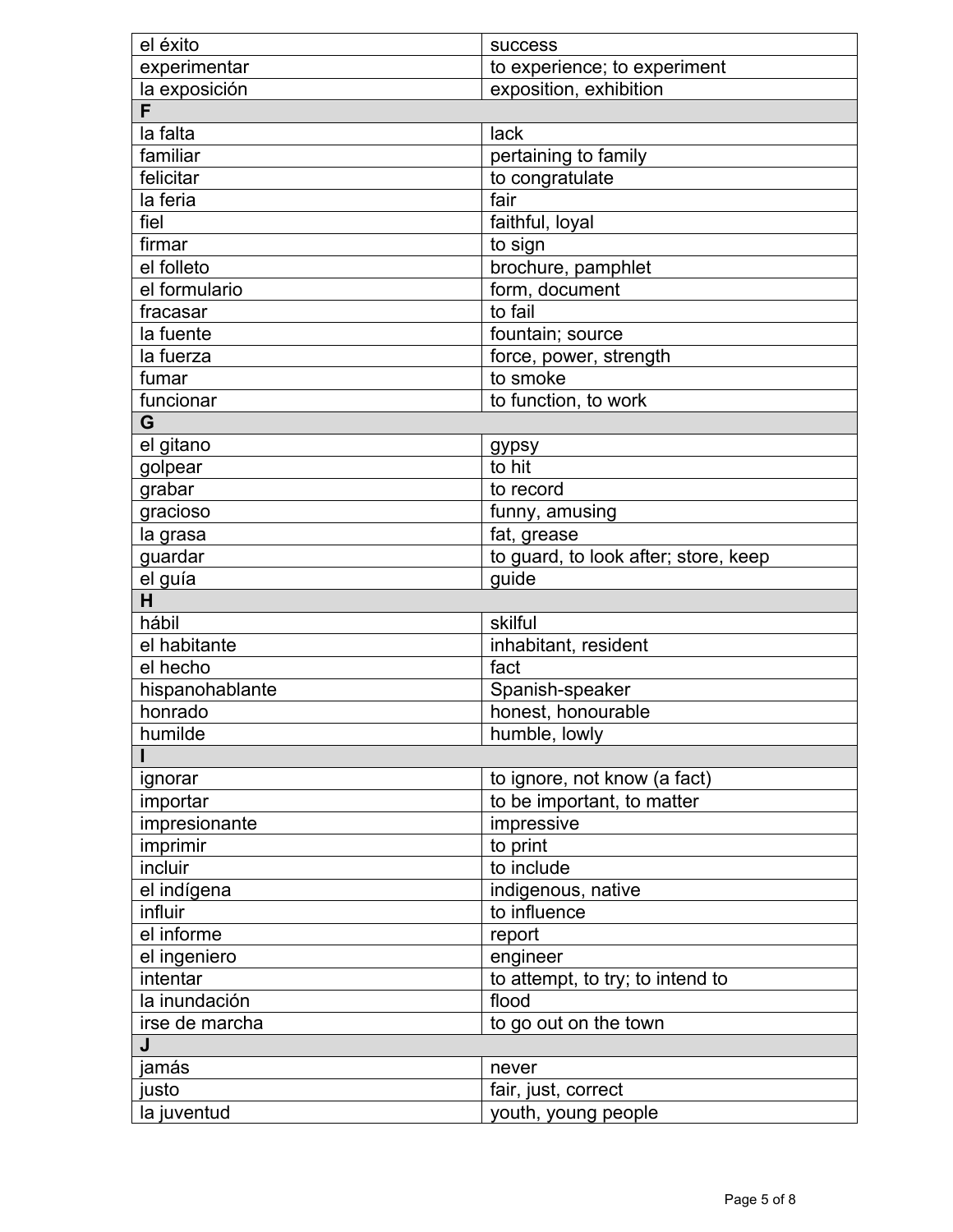| el éxito        | <b>success</b>                       |
|-----------------|--------------------------------------|
| experimentar    | to experience; to experiment         |
| la exposición   | exposition, exhibition               |
| F               |                                      |
| la falta        | lack                                 |
| familiar        | pertaining to family                 |
| felicitar       | to congratulate                      |
| la feria        | fair                                 |
| fiel            | faithful, loyal                      |
| firmar          | to sign                              |
| el folleto      | brochure, pamphlet                   |
| el formulario   | form, document                       |
| fracasar        | to fail                              |
| la fuente       | fountain; source                     |
| la fuerza       | force, power, strength               |
| fumar           | to smoke                             |
| funcionar       | to function, to work                 |
| G               |                                      |
| el gitano       | gypsy                                |
| golpear         | to hit                               |
| grabar          | to record                            |
| gracioso        | funny, amusing                       |
| la grasa        | fat, grease                          |
| guardar         | to guard, to look after; store, keep |
| el guía         | guide                                |
| H               |                                      |
| hábil           | skilful                              |
| el habitante    | inhabitant, resident                 |
| el hecho        | fact                                 |
| hispanohablante | Spanish-speaker                      |
| honrado         | honest, honourable                   |
| humilde         | humble, lowly                        |
|                 |                                      |
| ignorar         | to ignore, not know (a fact)         |
| importar        | to be important, to matter           |
| impresionante   | impressive                           |
| imprimir        | to print                             |
| incluir         | to include                           |
| el indígena     | indigenous, native                   |
| influir         | to influence                         |
| el informe      | report                               |
| el ingeniero    | engineer                             |
| intentar        | to attempt, to try; to intend to     |
| la inundación   | flood                                |
| irse de marcha  | to go out on the town                |
| J               |                                      |
| jamás           | never                                |
| justo           | fair, just, correct                  |
| la juventud     | youth, young people                  |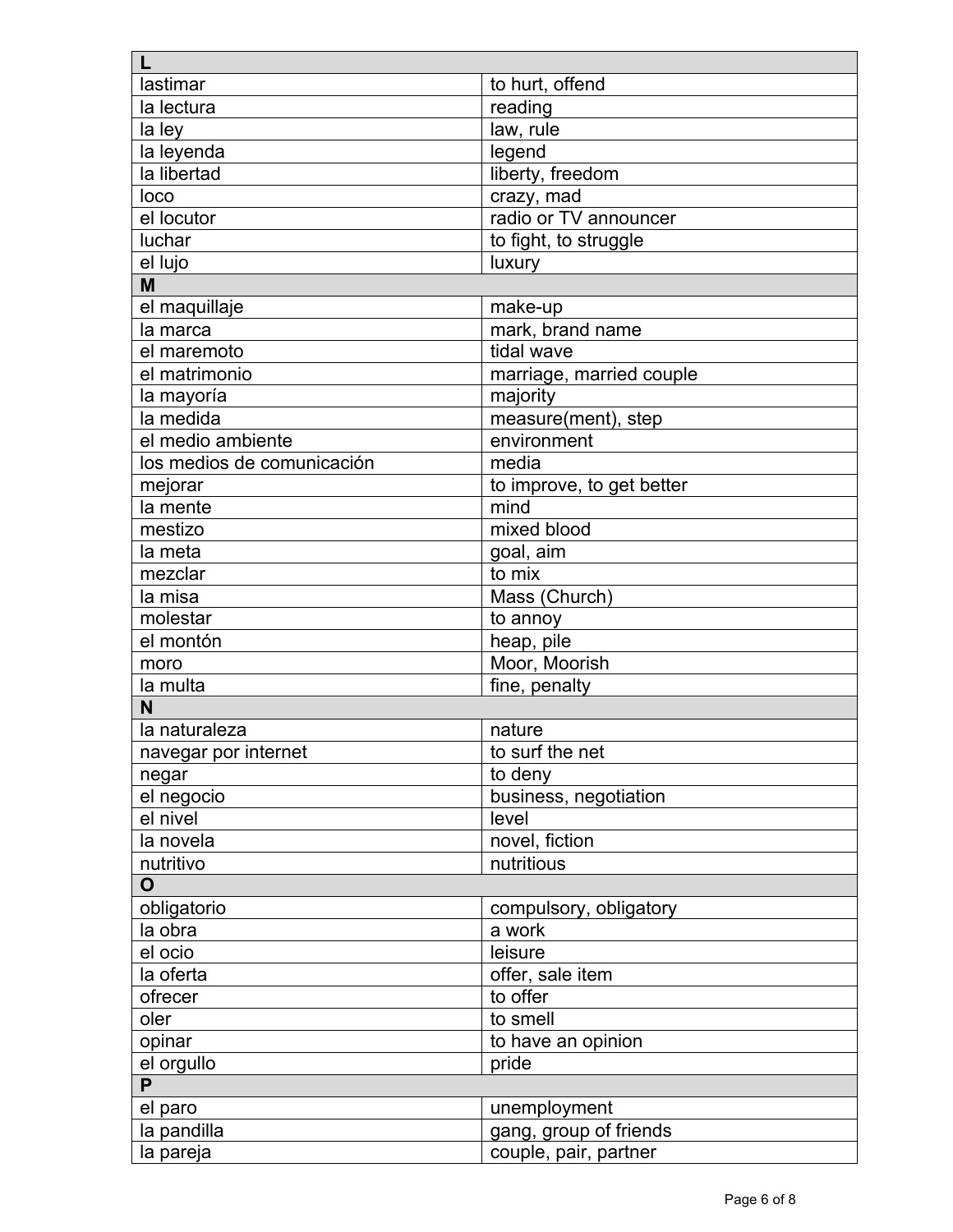| lastimar                     | to hurt, offend           |
|------------------------------|---------------------------|
| la lectura                   | reading                   |
| la ley                       | law, rule                 |
| la leyenda                   | legend                    |
| la libertad                  | liberty, freedom          |
| loco                         | crazy, mad                |
| el locutor                   | radio or TV announcer     |
| luchar                       | to fight, to struggle     |
| el lujo                      | luxury                    |
| M                            |                           |
| el maquillaje                | make-up                   |
| la marca                     | mark, brand name          |
| el maremoto                  | tidal wave                |
| el matrimonio                | marriage, married couple  |
| la mayoría                   | majority                  |
| la medida                    | measure(ment), step       |
| el medio ambiente            | environment               |
| los medios de comunicación   | media                     |
| mejorar                      | to improve, to get better |
| la mente                     | mind                      |
| mestizo                      | mixed blood               |
| la meta                      | goal, aim                 |
| mezclar                      | to mix                    |
| la misa                      | Mass (Church)             |
| molestar                     | to annoy                  |
| el montón                    | heap, pile                |
| moro                         | Moor, Moorish             |
| la multa                     | fine, penalty             |
| N                            |                           |
| la naturaleza                | nature                    |
| navegar por internet         | to surf the net           |
| negar                        | to deny                   |
| el negocio                   | business, negotiation     |
| el nivel                     | level                     |
| la novela                    | novel, fiction            |
| nutritivo                    | nutritious                |
| $\mathbf O$                  |                           |
| obligatorio                  | compulsory, obligatory    |
| la obra                      | a work                    |
| el ocio                      | leisure                   |
| la oferta                    | offer, sale item          |
| ofrecer                      | to offer                  |
| oler                         | to smell                  |
|                              |                           |
| opinar                       | to have an opinion        |
| el orgullo<br>$\overline{P}$ | pride                     |
|                              |                           |
| el paro                      | unemployment              |
| la pandilla                  | gang, group of friends    |
| la pareja                    | couple, pair, partner     |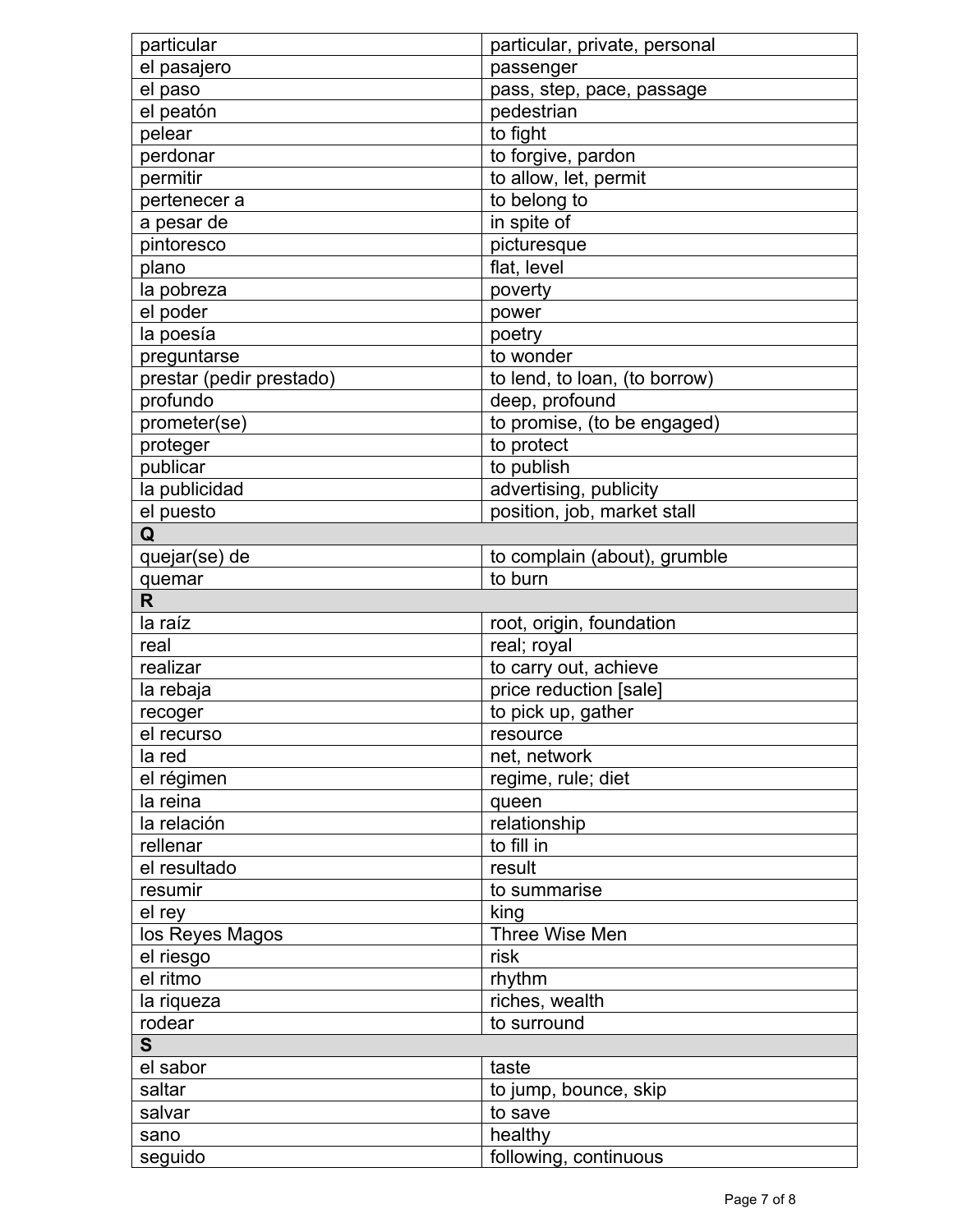| particular               | particular, private, personal |
|--------------------------|-------------------------------|
| el pasajero              | passenger                     |
| el paso                  | pass, step, pace, passage     |
| el peatón                | pedestrian                    |
| pelear                   | to fight                      |
| perdonar                 | to forgive, pardon            |
| permitir                 | to allow, let, permit         |
| pertenecer a             | to belong to                  |
| a pesar de               | in spite of                   |
| pintoresco               | picturesque                   |
| plano                    | flat, level                   |
| la pobreza               | poverty                       |
| el poder                 | power                         |
| la poesía                | poetry                        |
| preguntarse              | to wonder                     |
| prestar (pedir prestado) | to lend, to loan, (to borrow) |
| profundo                 | deep, profound                |
| prometer(se)             | to promise, (to be engaged)   |
| proteger                 | to protect                    |
| publicar                 | to publish                    |
| la publicidad            | advertising, publicity        |
| el puesto                | position, job, market stall   |
| Q                        |                               |
| quejar(se) de            | to complain (about), grumble  |
| quemar                   | to burn                       |
| R.                       |                               |
| la raíz                  | root, origin, foundation      |
| real                     | real; royal                   |
| realizar                 | to carry out, achieve         |
| la rebaja                | price reduction [sale]        |
| recoger                  | to pick up, gather            |
| el recurso               | resource                      |
| la red                   | net, network                  |
| el régimen               | regime, rule; diet            |
| la reina                 | queen                         |
| la relación              | relationship                  |
| rellenar                 | to fill in                    |
| el resultado             | result                        |
| resumir                  | to summarise                  |
| el rey                   | king                          |
| los Reyes Magos          | Three Wise Men                |
| el riesgo                | risk                          |
| el ritmo                 | rhythm                        |
| la riqueza               | riches, wealth                |
| rodear                   | to surround                   |
| S.                       |                               |
| el sabor                 | taste                         |
| saltar                   | to jump, bounce, skip         |
| salvar                   | to save                       |
| sano                     | healthy                       |
| seguido                  | following, continuous         |
|                          |                               |